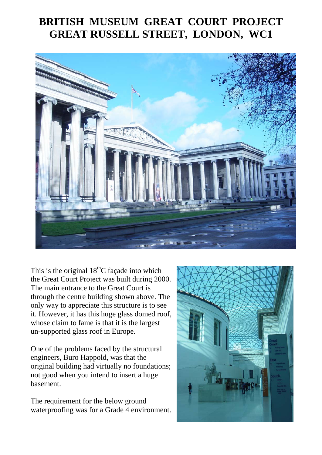## **BRITISH MUSEUM GREAT COURT PROJECT GREAT RUSSELL STREET, LONDON, WC1**



This is the original  $18<sup>th</sup>C$  façade into which the Great Court Project was built during 2000. The main entrance to the Great Court is through the centre building shown above. The only way to appreciate this structure is to see it. However, it has this huge glass domed roof, whose claim to fame is that it is the largest un-supported glass roof in Europe.

One of the problems faced by the structural engineers, Buro Happold, was that the original building had virtually no foundations; not good when you intend to insert a huge basement.

The requirement for the below ground waterproofing was for a Grade 4 environment.

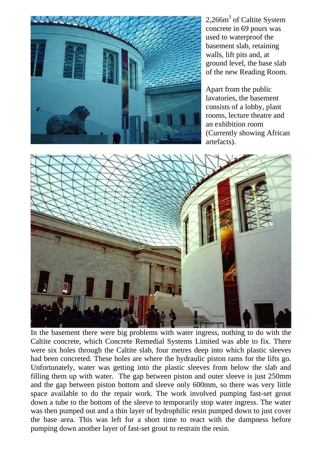

2,266m<sup>3</sup> of Caltite System concrete in 69 pours was used to waterproof the basement slab, retaining walls, lift pits and, at ground level, the base slab of the new Reading Room.

Apart from the public lavatories, the basement consists of a lobby, plant rooms, lecture theatre and an exhibition room (Currently showing African artefacts).



In the basement there were big problems with water ingress, nothing to do with the Caltite concrete, which Concrete Remedial Systems Limited was able to fix. There were six holes through the Caltite slab, four metres deep into which plastic sleeves had been concreted. These holes are where the hydraulic piston rams for the lifts go. Unfortunately, water was getting into the plastic sleeves from below the slab and filling them up with water. The gap between piston and outer sleeve is just 250mm and the gap between piston bottom and sleeve only 600mm, so there was very little space available to do the repair work. The work involved pumping fast-set grout down a tube to the bottom of the sleeve to temporarily stop water ingress. The water was then pumped out and a thin layer of hydrophilic resin pumped down to just cover the base area. This was left for a short time to react with the dampness before pumping down another layer of fast-set grout to restrain the resin.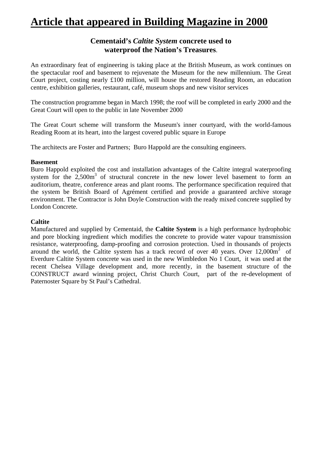# **Article that appeared in Building Magazine in 2000**

### **Cementaid's** *Caltite System* **concrete used to waterproof the Nation's Treasures**.

An extraordinary feat of engineering is taking place at the British Museum, as work continues on the spectacular roof and basement to rejuvenate the Museum for the new millennium. The Great Court project, costing nearly £100 million, will house the restored Reading Room, an education centre, exhibition galleries, restaurant, café, museum shops and new visitor services

The construction programme began in March 1998; the roof will be completed in early 2000 and the Great Court will open to the public in late November 2000

The Great Court scheme will transform the Museum's inner courtyard, with the world-famous Reading Room at its heart, into the largest covered public square in Europe

The architects are Foster and Partners; Buro Happold are the consulting engineers.

#### **Basement**

Buro Happold exploited the cost and installation advantages of the Caltite integral waterproofing system for the  $2,500m^3$  of structural concrete in the new lower level basement to form an auditorium, theatre, conference areas and plant rooms. The performance specification required that the system be British Board of Agrément certified and provide a guaranteed archive storage environment. The Contractor is John Doyle Construction with the ready mixed concrete supplied by London Concrete.

#### **Caltite**

Manufactured and supplied by Cementaid, the **Caltite System** is a high performance hydrophobic and pore blocking ingredient which modifies the concrete to provide water vapour transmission resistance, waterproofing, damp-proofing and corrosion protection. Used in thousands of projects around the world, the Caltite system has a track record of over 40 years. Over  $12,000m^3$  of Everdure Caltite System concrete was used in the new Wimbledon No 1 Court, it was used at the recent Chelsea Village development and, more recently, in the basement structure of the CONSTRUCT award winning project, Christ Church Court, part of the re-development of Paternoster Square by St Paul's Cathedral.